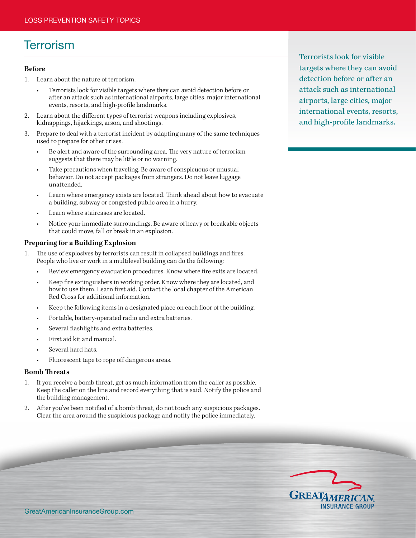# **Terrorism**

#### **Before**

- 1. Learn about the nature of terrorism.
	- Terrorists look for visible targets where they can avoid detection before or after an attack such as international airports, large cities, major international events, resorts, and high-profile landmarks.
- 2. Learn about the different types of terrorist weapons including explosives, kidnappings, hijackings, arson, and shootings.
- 3. Prepare to deal with a terrorist incident by adapting many of the same techniques used to prepare for other crises.
	- Be alert and aware of the surrounding area. The very nature of terrorism suggests that there may be little or no warning.
	- Take precautions when traveling. Be aware of conspicuous or unusual behavior. Do not accept packages from strangers. Do not leave luggage unattended.
	- Learn where emergency exists are located. Think ahead about how to evacuate a building, subway or congested public area in a hurry.
	- Learn where staircases are located.
	- Notice your immediate surroundings. Be aware of heavy or breakable objects that could move, fall or break in an explosion.

#### **Preparing for a Building Explosion**

- 1. The use of explosives by terrorists can result in collapsed buildings and fires. People who live or work in a multilevel building can do the following:
	- Review emergency evacuation procedures. Know where fire exits are located.
	- Keep fire extinguishers in working order. Know where they are located, and how to use them. Learn first aid. Contact the local chapter of the American Red Cross for additional information.
	- Keep the following items in a designated place on each floor of the building.
	- Portable, battery-operated radio and extra batteries.
	- Several flashlights and extra batteries.
	- First aid kit and manual.
	- Several hard hats.
	- Fluorescent tape to rope off dangerous areas.

#### **Bomb Threats**

- 1. If you receive a bomb threat, get as much information from the caller as possible. Keep the caller on the line and record everything that is said. Notify the police and the building management.
- 2. After you've been notified of a bomb threat, do not touch any suspicious packages. Clear the area around the suspicious package and notify the police immediately.

Terrorists look for visible targets where they can avoid detection before or after an attack such as international airports, large cities, major international events, resorts, and high-profile landmarks.

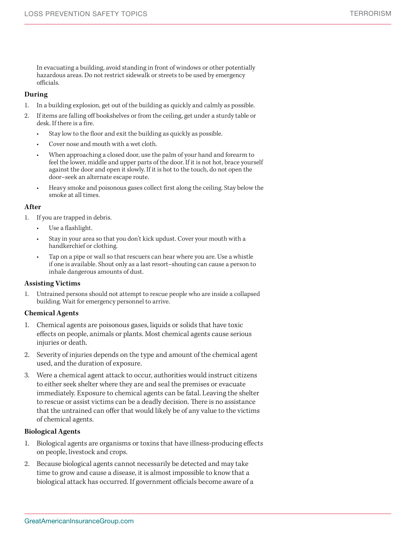In evacuating a building, avoid standing in front of windows or other potentially hazardous areas. Do not restrict sidewalk or streets to be used by emergency officials.

#### **During**

- 1. In a building explosion, get out of the building as quickly and calmly as possible.
- 2. If items are falling off bookshelves or from the ceiling, get under a sturdy table or desk. If there is a fire.
	- Stay low to the floor and exit the building as quickly as possible.
	- Cover nose and mouth with a wet cloth.
	- When approaching a closed door, use the palm of your hand and forearm to feel the lower, middle and upper parts of the door. If it is not hot, brace yourself against the door and open it slowly. If it is hot to the touch, do not open the door–seek an alternate escape route.
	- Heavy smoke and poisonous gases collect first along the ceiling. Stay below the smoke at all times.

### **After**

- 1. If you are trapped in debris.
	- Use a flashlight.
	- Stay in your area so that you don't kick updust. Cover your mouth with a handkerchief or clothing.
	- Tap on a pipe or wall so that rescuers can hear where you are. Use a whistle if one is available. Shout only as a last resort–shouting can cause a person to inhale dangerous amounts of dust.

# **Assisting Victims**

1. Untrained persons should not attempt to rescue people who are inside a collapsed building. Wait for emergency personnel to arrive.

#### **Chemical Agents**

- 1. Chemical agents are poisonous gases, liquids or solids that have toxic effects on people, animals or plants. Most chemical agents cause serious injuries or death.
- 2. Severity of injuries depends on the type and amount of the chemical agent used, and the duration of exposure.
- 3. Were a chemical agent attack to occur, authorities would instruct citizens to either seek shelter where they are and seal the premises or evacuate immediately. Exposure to chemical agents can be fatal. Leaving the shelter to rescue or assist victims can be a deadly decision. There is no assistance that the untrained can offer that would likely be of any value to the victims of chemical agents.

# **Biological Agents**

- 1. Biological agents are organisms or toxins that have illness-producing effects on people, livestock and crops.
- 2. Because biological agents cannot necessarily be detected and may take time to grow and cause a disease, it is almost impossible to know that a biological attack has occurred. If government officials become aware of a